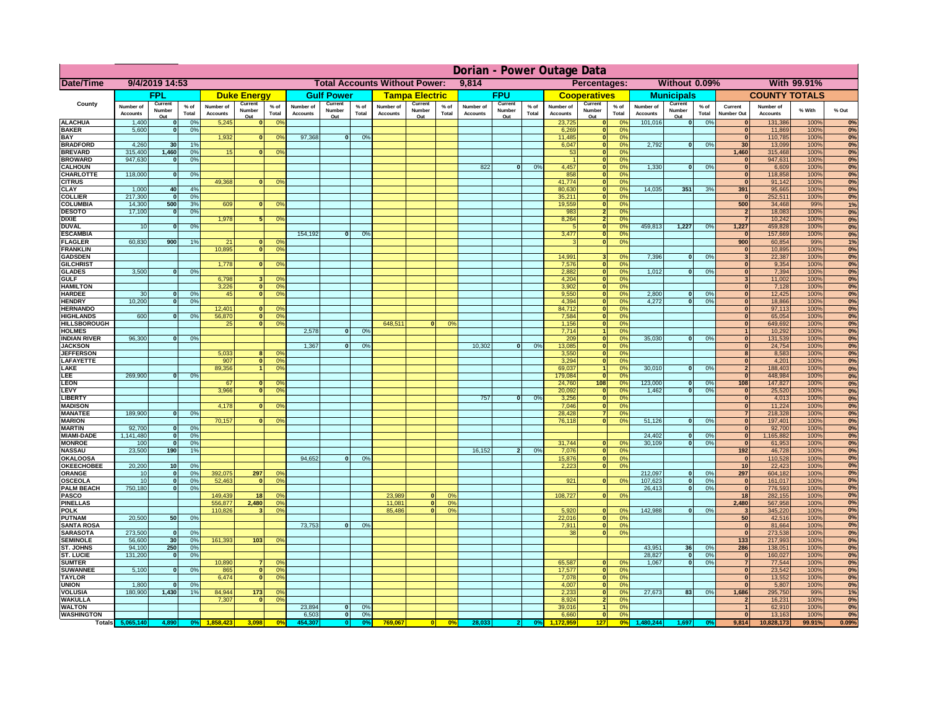|                                       | Dorian - Power Outage Data   |                          |                |                              |                                  |                                  |                                               |                          |                |                              |                          |                                              |                              |                          |               |                              |                                                    |                       |                              |                          |                 |                                  |                       |              |          |
|---------------------------------------|------------------------------|--------------------------|----------------|------------------------------|----------------------------------|----------------------------------|-----------------------------------------------|--------------------------|----------------|------------------------------|--------------------------|----------------------------------------------|------------------------------|--------------------------|---------------|------------------------------|----------------------------------------------------|-----------------------|------------------------------|--------------------------|-----------------|----------------------------------|-----------------------|--------------|----------|
| Date/Time                             | 9/4/2019 14:53               |                          |                |                              |                                  |                                  | <b>Total Accounts Without Power:</b><br>9,814 |                          |                |                              |                          | Percentages:<br>Without 0.09%<br>With 99.91% |                              |                          |               |                              |                                                    |                       |                              |                          |                 |                                  |                       |              |          |
|                                       |                              | <b>FPL</b>               |                |                              | <b>Duke Energy</b>               |                                  |                                               | <b>Gulf Power</b>        |                |                              | <b>Tampa Electric</b>    |                                              |                              | <b>FPU</b>               |               |                              | <b>Cooperatives</b>                                |                       |                              | <b>Municipals</b>        |                 |                                  | <b>COUNTY TOTALS</b>  |              |          |
| County                                | Number of<br><b>Accounts</b> | Current<br>Number<br>Out | % of<br>Total  | Number of<br><b>Accounts</b> | Current<br>Number<br>Out         | $%$ of<br>Total                  | Number of<br><b>Accounts</b>                  | Current<br>Number<br>Out | % of<br>Total  | Number of<br><b>Accounts</b> | Current<br>Number<br>Out | $%$ of<br>Total                              | Number of<br><b>Accounts</b> | Current<br>Number<br>Out | % of<br>Total | Number of<br><b>Accounts</b> | Current<br>Number<br><u>Out</u>                    | $%$ of<br>Total       | Number of<br><b>Accounts</b> | Current<br>Number<br>Out | $%$ of<br>Total | Current<br>Number Out            | Number of<br>Accounts | % With       | % Out    |
| <b>ALACHUA</b>                        | 1,400                        | $\Omega$                 | 0%             | 5,245                        | n                                | 0 <sup>o</sup>                   |                                               |                          |                |                              |                          |                                              |                              |                          |               | 23,725                       | 0                                                  | nº                    | 101,016                      | $\mathbf{0}$             | 0%              |                                  | 131,386               | 100%         | 0%       |
| <b>BAKER</b><br><b>BAY</b>            | 5,600                        | $\mathbf{0}$             | 0%             | 1,932                        | $\mathbf{0}$                     |                                  | 97,368                                        | $\mathbf{0}$             | 0 <sup>9</sup> |                              |                          |                                              |                              |                          |               | 6,269<br>11,485              | $\bf{0}$                                           | 0%<br>0%              |                              |                          |                 | $\mathbf{0}$<br>$\overline{0}$   | 11,869<br>110,785     | 100%<br>100% | 0%       |
| <b>BRADFORD</b>                       | 4,260                        | 30                       | 1%             |                              |                                  | 0 <sup>9</sup>                   |                                               |                          |                |                              |                          |                                              |                              |                          |               | 6,047                        | 0 <br> 0                                           | 0%                    | 2,792                        | 0                        | 0%              | 30                               | 13,099                | 100%         | 0%<br>0% |
| <b>BREVARD</b>                        | 315,400                      | 1,460                    | 0%             | 15                           | $\mathbf{0}$                     | 0 <sup>9</sup>                   |                                               |                          |                |                              |                          |                                              |                              |                          |               | 53                           | 0                                                  | 0%                    |                              |                          |                 | 1,460                            | 315,468               | 100%         | 0%       |
| <b>BROWARD</b>                        | 947,630                      | $\Omega$                 | 0%             |                              |                                  |                                  |                                               |                          |                |                              |                          |                                              |                              |                          |               |                              | 0                                                  | 0%                    |                              |                          |                 | $\mathbf{0}$                     | 947,631               | 100%         | 0%       |
| <b>CALHOUN</b>                        |                              |                          |                |                              |                                  |                                  |                                               |                          |                |                              |                          |                                              | 822                          | 0                        | 0%            | 4,457                        | 0                                                  | 0%                    | 1,330                        | 0                        | 0%              | $\overline{0}$                   | 6,609                 | 100%         | 0%       |
| <b>CHARLOTTE</b>                      | 118,000                      | $\mathbf{0}$             | 0%             | 49.368                       | $\Omega$                         | 0 <sup>9</sup>                   |                                               |                          |                |                              |                          |                                              |                              |                          |               | 858<br>41.774                | $\overline{\mathbf{0}}$<br>$\overline{\mathbf{0}}$ | 0%<br>0%              |                              |                          |                 | $\overline{0}$<br>$\overline{0}$ | 118,858<br>91,142     | 100%<br>100% | 0%<br>0% |
| <b>CITRUS</b><br><b>CLAY</b>          | 1,000                        | 40                       | 4%             |                              |                                  |                                  |                                               |                          |                |                              |                          |                                              |                              |                          |               | 80,630                       | $\overline{\mathbf{0}}$                            | 0%                    | 14.035                       | 351                      | 3%              | 391                              | 95,665                | 100%         | 0%       |
| <b>COLLIER</b>                        | 217,300                      | - Ol                     | 0%             |                              |                                  |                                  |                                               |                          |                |                              |                          |                                              |                              |                          |               | 35,211                       | 0                                                  | 0%                    |                              |                          |                 | $\overline{0}$                   | 252,511               | 100%         | 0%       |
| <b>COLUMBIA</b>                       | 14,300                       | 500                      | 3%             | 609                          |                                  | 0 <sup>9</sup><br>$\overline{0}$ |                                               |                          |                |                              |                          |                                              |                              |                          |               | 19,559                       | 0                                                  | 0%                    |                              |                          |                 | 500                              | 34,468                | 99%          | 1%       |
| <b>DESOTO</b>                         | 17,100                       | 0                        | 0%             |                              |                                  |                                  |                                               |                          |                |                              |                          |                                              |                              |                          |               | 983                          | $\overline{2}$                                     | 0%                    |                              |                          |                 | $\overline{2}$                   | 18,083                | 100%         | 0%       |
| <b>DIXIE</b><br><b>DUVAL</b>          | 10                           | $\Omega$                 | 0%             | 1,978                        | 5                                | 0 <sup>9</sup>                   |                                               |                          |                |                              |                          |                                              |                              |                          |               | 8,264<br>-5                  | $\overline{2}$<br>$\overline{\bullet}$             | 0%<br>0%              | 459,813                      | 1,227                    | 0%              | $\overline{7}$<br>1,227          | 10,242<br>459,828     | 100%<br>100% | 0%<br>0% |
| <b>ESCAMBIA</b>                       |                              |                          |                |                              |                                  |                                  | 154,192                                       | $\overline{0}$           | 0 <sup>9</sup> |                              |                          |                                              |                              |                          |               | 3,477                        | 0                                                  | 0%                    |                              |                          |                 | $\overline{0}$                   | 157,669               | 100%         | 0%       |
| <b>FLAGLER</b>                        | 60,830                       | 900                      | 1%             | 21                           |                                  | $\overline{0}$<br>0 <sup>9</sup> |                                               |                          |                |                              |                          |                                              |                              |                          |               | $\mathbf{R}$                 | $\overline{\mathbf{0}}$                            | 0%                    |                              |                          |                 | 900                              | 60,854                | 99%          | 1%       |
| <b>FRANKLIN</b>                       |                              |                          |                | 10.895                       | 0                                | 0 <sup>9</sup>                   |                                               |                          |                |                              |                          |                                              |                              |                          |               |                              |                                                    |                       |                              |                          |                 | $\overline{\mathbf{0}}$          | 10,895                | 100%         | 0%       |
| <b>GADSDEN</b><br><b>GILCHRIST</b>    |                              |                          |                | 1.778                        | $\overline{0}$                   | 0 <sup>9</sup>                   |                                               |                          |                |                              |                          |                                              |                              |                          |               | 14,991<br>7,576              | 3 <sup>1</sup><br>$\overline{0}$                   | 0 <sup>9</sup><br>0%  | 7,396                        | $\overline{0}$           | 0%              | 3 <sup>1</sup><br> 0             | 22,387<br>9,354       | 100%<br>100% | 0%<br>0% |
| <b>GLADES</b>                         | 3.500                        | $\mathbf{0}$             | 0%             |                              |                                  |                                  |                                               |                          |                |                              |                          |                                              |                              |                          |               | 2.882                        | 0                                                  | 0%                    | 1.012                        | $\mathbf{0}$             | 0%              | $\mathbf{0}$                     | 7,394                 | 100%         | 0%       |
| <b>GULF</b>                           |                              |                          |                | 6.798                        |                                  | 3 <sup>1</sup><br>0 <sup>9</sup> |                                               |                          |                |                              |                          |                                              |                              |                          |               | 4.204                        | 0                                                  | 0%                    |                              |                          |                 | 3 <sup>1</sup>                   | 11,002                | 100%         | 0%       |
| <b>HAMILTON</b>                       |                              |                          |                | 3.226                        |                                  | $\overline{0}$<br>0 <sup>9</sup> |                                               |                          |                |                              |                          |                                              |                              |                          |               | 3.902                        | 0                                                  | 0%                    |                              |                          |                 | 0                                | 7.128                 | 100%         | 0%       |
| <b>HARDEE</b>                         | 30                           | $\Omega$                 | 0%             | 45                           | 0                                | 0 <sup>9</sup>                   |                                               |                          |                |                              |                          |                                              |                              |                          |               | 9,550                        | 0                                                  | 0%                    | 2,800                        | $\Omega$<br>$\Omega$     | 0%              | 0                                | 12,425                | 100%         | 0%       |
| <b>HENDRY</b><br><b>HERNANDO</b>      | 10,200                       | 0                        | 0%             | 12,401                       | $\mathbf{0}$                     | O <sup>c</sup>                   |                                               |                          |                |                              |                          |                                              |                              |                          |               | 4,394<br>84,712              | 0 <br> 0                                           | 0%<br>0%              | 4,272                        |                          | 0%              | 0 <br> 0                         | 18,866<br>97,113      | 100%<br>100% | 0%<br>0% |
| <b>HIGHLANDS</b>                      | 600                          | 0                        | 0%             | 56,870                       |                                  | 0 <br>0 <sup>o</sup>             |                                               |                          |                |                              |                          |                                              |                              |                          |               | 7,584                        | 0                                                  | 0%                    |                              |                          |                 | 0                                | 65,054                | 100%         | 0%       |
| <b>HILLSBOROUGH</b>                   |                              |                          |                | 25                           | 0                                | 0 <sup>9</sup>                   |                                               |                          |                | 648,511                      | $\bf{0}$                 | 0%                                           |                              |                          |               | 1,156                        | 0                                                  | 0%                    |                              |                          |                 | 0                                | 649,692               | 100%         | 0%       |
| <b>HOLMES</b>                         |                              |                          |                |                              |                                  |                                  | 2,578                                         | $\Omega$                 | 0%             |                              |                          |                                              |                              |                          |               | 7,714                        | 11                                                 | 0%                    |                              |                          |                 | $\mathbf{1}$                     | 10,292                | 100%         | 0%       |
| <b>INDIAN RIVER</b><br><b>JACKSON</b> | 96,300                       | $\Omega$                 | 0%             |                              |                                  |                                  | 1,367                                         | $\mathbf{0}$             | 0 <sup>9</sup> |                              |                          |                                              | 10,302                       | $\mathbf{0}$             | 0%            | 209<br>13,085                | 0 <br>$\overline{0}$                               | 0%<br>0%              | 35,030                       | $\mathbf{0}$             | 0%              | 0 <br> 0                         | 131,539<br>24,754     | 100%<br>100% | 0%<br>0% |
| <b>JEFFERSON</b>                      |                              |                          |                | 5,033                        | 8                                | $^{\circ}$                       |                                               |                          |                |                              |                          |                                              |                              |                          |               | 3,550                        | 0                                                  | 0%                    |                              |                          |                 | 8 <sup>1</sup>                   | 8,583                 | 100%         | 0%       |
| LAFAYETTE                             |                              |                          |                | 907                          | $\Omega$                         | 0 <sup>9</sup>                   |                                               |                          |                |                              |                          |                                              |                              |                          |               | 3,294                        | 0                                                  | 0%                    |                              |                          |                 | $\Omega$                         | 4,201                 | 100%         | 0%       |
| LAKE                                  |                              |                          |                | 89,356                       | 11                               | 0 <sup>9</sup>                   |                                               |                          |                |                              |                          |                                              |                              |                          |               | 69,037                       | 1 <sup>1</sup>                                     | 0%                    | 30,010                       | $\Omega$                 | 0%              | 2 <sub>1</sub>                   | 188,403               | 100%         | 0%       |
| LEE.                                  | 269,900                      | $\Omega$                 | 0%             |                              |                                  |                                  |                                               |                          |                |                              |                          |                                              |                              |                          |               | 179,084                      | 0                                                  | 0%<br>0%              |                              |                          |                 | 0                                | 448,984               | 100%         | 0%       |
| <b>LEON</b><br><b>LEVY</b>            |                              |                          |                | 67<br>3,966                  | $\Omega$<br>$\mathbf{0}$         | $\Omega$<br>0 <sup>o</sup>       |                                               |                          |                |                              |                          |                                              |                              |                          |               | 24,760<br>20,092             | 108<br> 0                                          | $\Omega$ %            | 123,000<br>1,462             | $\Omega$<br> 0           | 0%<br>0%        | 108<br>$\mathbf{0}$              | 147,827<br>25,520     | 100%<br>100% | 0%<br>0% |
| <b>LIBERT</b>                         |                              |                          |                |                              |                                  |                                  |                                               |                          |                |                              |                          |                                              | 757                          | 0                        | 0%            | 3,256                        | 0                                                  | 0%                    |                              |                          |                 | 0                                | 4,013                 | 100%         | 0%       |
| <b>MADISON</b>                        |                              |                          |                | 4,178                        | $\Omega$                         | 0 <sup>9</sup>                   |                                               |                          |                |                              |                          |                                              |                              |                          |               | 7,046                        | $\overline{\mathbf{0}}$                            | 0%                    |                              |                          |                 | 0                                | 11,224                | 100%         | 0%       |
| <b>MANATEE</b>                        | 189,900                      | 0                        | 0%             |                              |                                  |                                  |                                               |                          |                |                              |                          |                                              |                              |                          |               | 28,428                       | 7                                                  | 0%                    |                              |                          |                 | 7 <sup>1</sup>                   | 218,328               | 100%         | 0%       |
| <b>MARION</b><br><b>MARTIN</b>        | 92,700                       | 0                        | 0%             | 70,157                       | $\Omega$                         | 0 <sup>9</sup>                   |                                               |                          |                |                              |                          |                                              |                              |                          |               | 76,118                       | $\overline{\mathbf{0}}$                            | 0%                    | 51,126                       | ol                       | 0%              | 0 <br> 0                         | 197,401<br>92,700     | 100%<br>100% | 0%<br>0% |
| <b>MIAMI-DADE</b>                     | 1,141,480                    | 0                        | 0%             |                              |                                  |                                  |                                               |                          |                |                              |                          |                                              |                              |                          |               |                              |                                                    |                       | 24,402                       | 0                        | 0%              | 0                                | 1,165,882             | 100%         | 0%       |
| <b>MONROE</b>                         | 100                          | - Ol                     | 0%             |                              |                                  |                                  |                                               |                          |                |                              |                          |                                              |                              |                          |               | 31,744                       | 0                                                  | $\Omega$ <sup>o</sup> | 30,109                       | তা                       | 0%              | 0                                | 61,953                | 100%         | 0%       |
| <b>NASSAU</b>                         | 23,500                       | 190                      | 1%             |                              |                                  |                                  |                                               |                          |                |                              |                          |                                              | 16,152                       | $\overline{2}$           | 0%            | 7,076                        | 0                                                  | 0%                    |                              |                          |                 | 192                              | 46,728                | 100%         | 0%       |
| <b>OKALOOSA</b>                       |                              |                          |                |                              |                                  |                                  | 94,652                                        | $\overline{0}$           | 0%             |                              |                          |                                              |                              |                          |               | 15,876                       | 0                                                  | 0%                    |                              |                          |                 | $\mathbf{0}$                     | 110,528               | 100%         | 0%       |
| OKEECHOBEE<br>ORANGE                  | 20,200<br>10                 | 10 <sup>1</sup><br> 0    | 0%<br>0%       | 392,075                      | 297                              | 0 <sup>o</sup>                   |                                               |                          |                |                              |                          |                                              |                              |                          |               | 2,223                        |                                                    | 0 <br>0%              | 212,097                      | 0                        | 0%              | 10<br>297                        | 22,423<br>604,182     | 100%<br>100% | 0%<br>0% |
| <b>OSCEOLA</b>                        | 10                           | 0                        | 0 <sup>9</sup> | 52,463                       | $\Omega$                         | 0 <sup>9</sup>                   |                                               |                          |                |                              |                          |                                              |                              |                          |               | 921                          |                                                    | 0 <br>0 <sup>9</sup>  | 107,623                      | 0                        | 0%              | 0                                | 161,017               | 100%         | 0%       |
| <b>PALM BEACH</b>                     | 750,180                      |                          | 0 <br>0%       |                              |                                  |                                  |                                               |                          |                |                              |                          |                                              |                              |                          |               |                              |                                                    |                       | 26,413                       | -ol                      | 0%              | $\mathbf{0}$                     | 776,593               | 100%         | 0%       |
| <b>PASCO</b>                          |                              |                          |                | 149,439                      | 18 <sup>1</sup>                  | 0 <sup>9</sup>                   |                                               |                          |                | 23,989                       | $\bf{0}$                 | 0%                                           |                              |                          |               | 108,727                      |                                                    | 0 <br>0%              |                              |                          |                 | 18 <sup>1</sup>                  | 282,155               | 100%         | 0%       |
| <b>PINELLAS</b><br><b>POLK</b>        |                              |                          |                | 556,877<br>110,826           | 2,480<br>$\overline{\mathbf{3}}$ | 0 <sup>9</sup><br>0 <sup>9</sup> |                                               |                          |                | 11,081<br>85,486             | 0 <br>$\mathbf{0}$       | 0%<br>0%                                     |                              |                          |               | 5,920                        | 0                                                  | 0%                    | 142,988                      | 0                        | 0%              | 2,480<br>$\mathbf{3}$            | 567,958<br>345,220    | 100%<br>100% | 0%<br>0% |
| <b>PUTNAM</b>                         | 20,500                       | 50                       | 0%             |                              |                                  |                                  |                                               |                          |                |                              |                          |                                              |                              |                          |               | 22,016                       | 0                                                  | 0%                    |                              |                          |                 | 50                               | 42,516                | 100%         | 0%       |
| <b>SANTA ROSA</b>                     |                              |                          |                |                              |                                  |                                  | 73,753                                        | $\mathbf{0}$             | 0%             |                              |                          |                                              |                              |                          |               | 7.911                        | 0                                                  | 0%                    |                              |                          |                 | 0                                | 81,664                | 100%         | 0%       |
| <b>SARASOTA</b>                       | 273,500                      | $\mathbf{0}$             | 0%             |                              |                                  |                                  |                                               |                          |                |                              |                          |                                              |                              |                          |               | 38                           | 0                                                  | 0%                    |                              |                          |                 | 0                                | 273,538               | 100%         | 0%       |
| <b>SEMINOLE</b><br><b>ST. JOHNS</b>   | 56,600<br>94.100             | 30 <sup>1</sup><br>250   | 0%<br>0%       | 161,393                      | 103                              | 0 <sup>9</sup>                   |                                               |                          |                |                              |                          |                                              |                              |                          |               |                              |                                                    |                       | 43.951                       | 36                       | 0%              | 133<br>286                       | 217,993<br>138,051    | 100%<br>100% | 0%<br>0% |
| <b>ST. LUCIE</b>                      | 131,200                      | 0                        | 0%             |                              |                                  |                                  |                                               |                          |                |                              |                          |                                              |                              |                          |               |                              |                                                    |                       | 28,827                       | 0                        | 0%              | 0                                | 160,027               | 100%         | 0%       |
| <b>SUMTER</b>                         |                              |                          |                | 10,890                       | $\overline{7}$                   | 0 <sup>9</sup>                   |                                               |                          |                |                              |                          |                                              |                              |                          |               | 65,587                       | 0                                                  | 0 <sup>9</sup>        | 1,067                        | 0                        | 0%              | 7 <sup>1</sup>                   | 77,544                | 100%         | 0%       |
| <b>SUWANNEE</b>                       | 5,100                        | 0                        | 0%             | 865                          | 0                                | 0 <sup>o</sup>                   |                                               |                          |                |                              |                          |                                              |                              |                          |               | 17,577                       | 0                                                  | 0%                    |                              |                          |                 | $\mathbf{0}$                     | 23,542                | 100%         | 0%       |
| <b>TAYLOR</b>                         |                              |                          |                | 6,474                        | $\mathbf{0}$                     | 0 <sup>9</sup>                   |                                               |                          |                |                              |                          |                                              |                              |                          |               | 7,078                        | 0                                                  | 0%                    |                              |                          |                 | $\bf{0}$                         | 13,552                | 100%         | 0%       |
| <b>UNION</b><br><b>VOLUSIA</b>        | 1,800<br>180,900             | $\mathbf{0}$<br>1,430    | 0%<br>1%       | 84,944                       | 173                              | $\mathbf{0}$                     |                                               |                          |                |                              |                          |                                              |                              |                          |               | 4,007<br>2,233               | 0 <br> 0                                           | 0%<br>0%              | 27,673                       | 83                       | 0%              | $\mathbf{0}$<br>1,686            | 5,807<br>295,750      | 100%<br>99%  | 0%<br>1% |
| <b>WAKULLA</b>                        |                              |                          |                | 7,307                        | $\mathbf{0}$                     | 0 <sup>9</sup>                   |                                               |                          |                |                              |                          |                                              |                              |                          |               | 8,924                        | 2                                                  | 0%                    |                              |                          |                 | $\overline{2}$                   | 16,231                | 100%         | 0%       |
| <b>WALTON</b>                         |                              |                          |                |                              |                                  |                                  | 23,894                                        | $\mathbf{0}$             | 0%             |                              |                          |                                              |                              |                          |               | 39,016                       | 1                                                  | 0%                    |                              |                          |                 |                                  | 62,910                | 100%         | 0%       |
| <b>WASHINGTON</b>                     |                              |                          |                |                              |                                  |                                  | 6,503                                         | 0                        | 0%             |                              |                          |                                              |                              |                          |               | 6,660                        | 0                                                  | 0%                    |                              |                          |                 | $\mathbf{0}$                     | 13,163                | 100%         | 0%       |
|                                       | Totals 5,065,140             | 4,890                    | 0              |                              | 3,098                            | 0 <sup>6</sup>                   | 454.30                                        | $\bullet$                |                | 769,067                      | 0                        | 0%                                           | 28,033                       |                          |               |                              |                                                    | 0%                    | ,480,244                     |                          |                 | 9,814                            | 10,828,173            | 99.91%       | 0.09%    |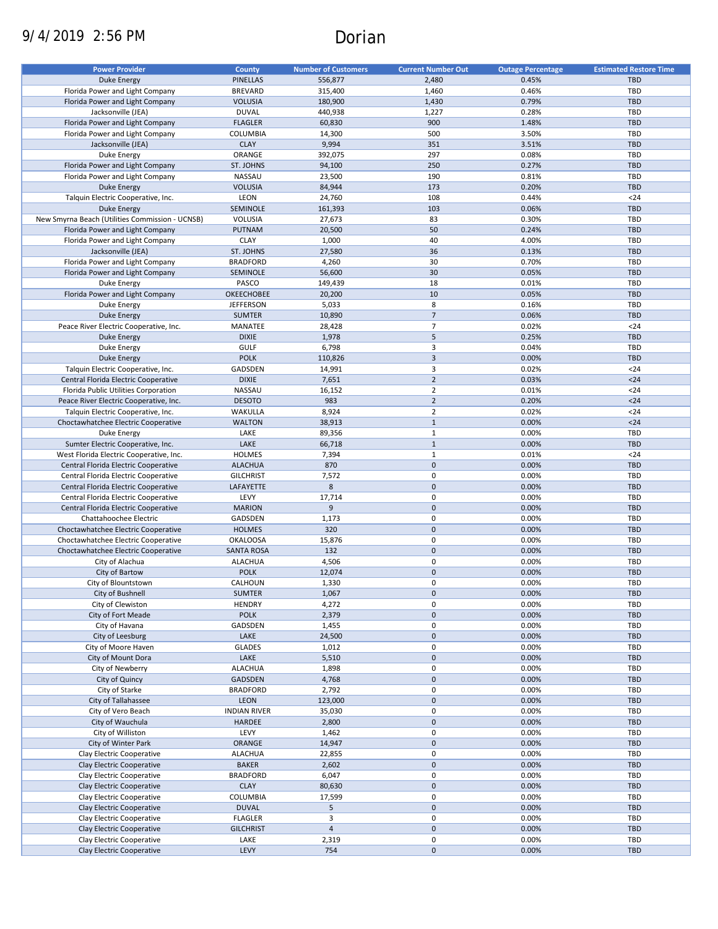# 9/4/2019 2:56 PM Dorian

| <b>Power Provider</b>                           | <b>County</b>       | <b>Number of Customers</b> | <b>Current Number Out</b> | <b>Outage Percentage</b> | <b>Estimated Restore Time</b> |
|-------------------------------------------------|---------------------|----------------------------|---------------------------|--------------------------|-------------------------------|
|                                                 |                     |                            |                           |                          |                               |
| <b>Duke Energy</b>                              | <b>PINELLAS</b>     | 556,877                    | 2,480                     | 0.45%                    | <b>TBD</b>                    |
| Florida Power and Light Company                 | <b>BREVARD</b>      | 315,400                    | 1,460                     | 0.46%                    | TBD                           |
| Florida Power and Light Company                 | <b>VOLUSIA</b>      | 180,900                    | 1,430                     | 0.79%                    | <b>TBD</b>                    |
| Jacksonville (JEA)                              | <b>DUVAL</b>        | 440,938                    | 1,227                     | 0.28%                    | <b>TBD</b>                    |
| Florida Power and Light Company                 | <b>FLAGLER</b>      | 60,830                     | 900                       | 1.48%                    | <b>TBD</b>                    |
| Florida Power and Light Company                 | <b>COLUMBIA</b>     | 14,300                     | 500                       | 3.50%                    | TBD                           |
| Jacksonville (JEA)                              | <b>CLAY</b>         | 9,994                      | 351                       | 3.51%                    | <b>TBD</b>                    |
| Duke Energy                                     | ORANGE              | 392,075                    | 297                       | 0.08%                    | TBD                           |
| Florida Power and Light Company                 | ST. JOHNS           | 94,100                     | 250                       | 0.27%                    | <b>TBD</b>                    |
| Florida Power and Light Company                 | <b>NASSAU</b>       | 23,500                     | 190                       | 0.81%                    | TBD                           |
|                                                 |                     |                            |                           |                          |                               |
| <b>Duke Energy</b>                              | <b>VOLUSIA</b>      | 84,944                     | 173                       | 0.20%                    | <b>TBD</b>                    |
| Talquin Electric Cooperative, Inc.              | LEON                | 24,760                     | 108                       | 0.44%                    | $24$                          |
| Duke Energy                                     | SEMINOLE            | 161,393                    | 103                       | 0.06%                    | <b>TBD</b>                    |
| New Smyrna Beach (Utilities Commission - UCNSB) | VOLUSIA             | 27,673                     | 83                        | 0.30%                    | <b>TBD</b>                    |
| Florida Power and Light Company                 | PUTNAM              | 20,500                     | 50                        | 0.24%                    | <b>TBD</b>                    |
| Florida Power and Light Company                 | <b>CLAY</b>         | 1,000                      | 40                        | 4.00%                    | <b>TBD</b>                    |
| Jacksonville (JEA)                              | ST. JOHNS           | 27,580                     | 36                        | 0.13%                    | <b>TBD</b>                    |
| Florida Power and Light Company                 | <b>BRADFORD</b>     | 4,260                      | 30                        | 0.70%                    | <b>TBD</b>                    |
| Florida Power and Light Company                 | SEMINOLE            | 56,600                     | 30                        | 0.05%                    | <b>TBD</b>                    |
|                                                 |                     |                            |                           |                          |                               |
| Duke Energy                                     | PASCO               | 149,439                    | 18                        | 0.01%                    | <b>TBD</b>                    |
| Florida Power and Light Company                 | <b>OKEECHOBEE</b>   | 20,200                     | 10                        | 0.05%                    | <b>TBD</b>                    |
| Duke Energy                                     | <b>JEFFERSON</b>    | 5,033                      | 8                         | 0.16%                    | <b>TBD</b>                    |
| <b>Duke Energy</b>                              | <b>SUMTER</b>       | 10,890                     | $\overline{\phantom{a}}$  | 0.06%                    | <b>TBD</b>                    |
| Peace River Electric Cooperative, Inc.          | MANATEE             | 28,428                     | $\overline{7}$            | 0.02%                    | $24$                          |
| Duke Energy                                     | <b>DIXIE</b>        | 1,978                      | 5                         | 0.25%                    | <b>TBD</b>                    |
| Duke Energy                                     | <b>GULF</b>         | 6,798                      | 3                         | 0.04%                    | <b>TBD</b>                    |
| Duke Energy                                     | <b>POLK</b>         | 110,826                    | $\mathsf 3$               | 0.00%                    | <b>TBD</b>                    |
|                                                 |                     |                            | 3                         |                          |                               |
| Talquin Electric Cooperative, Inc.              | GADSDEN             | 14,991                     |                           | 0.02%                    | $24$                          |
| Central Florida Electric Cooperative            | <b>DIXIE</b>        | 7,651                      | $\overline{2}$            | 0.03%                    | $24$                          |
| Florida Public Utilities Corporation            | NASSAU              | 16,152                     | $\overline{2}$            | 0.01%                    | $24$                          |
| Peace River Electric Cooperative, Inc.          | <b>DESOTO</b>       | 983                        | $\overline{2}$            | 0.20%                    | $24$                          |
| Talquin Electric Cooperative, Inc.              | WAKULLA             | 8,924                      | $\overline{2}$            | 0.02%                    | $24$                          |
| Choctawhatchee Electric Cooperative             | <b>WALTON</b>       | 38,913                     | $\mathbf{1}$              | 0.00%                    | $24$                          |
| Duke Energy                                     | LAKE                | 89,356                     | $\mathbf{1}$              | 0.00%                    | <b>TBD</b>                    |
| Sumter Electric Cooperative, Inc.               | LAKE                | 66,718                     | $\mathbf{1}$              | 0.00%                    | <b>TBD</b>                    |
| West Florida Electric Cooperative, Inc.         | <b>HOLMES</b>       | 7,394                      | $\mathbf{1}$              | 0.01%                    | $24$                          |
|                                                 |                     |                            |                           |                          |                               |
| Central Florida Electric Cooperative            | <b>ALACHUA</b>      | 870                        | $\mathbf 0$               | 0.00%                    | <b>TBD</b>                    |
| Central Florida Electric Cooperative            | <b>GILCHRIST</b>    | 7,572                      | $\mathbf 0$               | 0.00%                    | TBD                           |
| Central Florida Electric Cooperative            | LAFAYETTE           | 8                          | $\mathbf 0$               | 0.00%                    | <b>TBD</b>                    |
| Central Florida Electric Cooperative            | LEVY                | 17,714                     | $\mathbf 0$               | 0.00%                    | TBD                           |
| Central Florida Electric Cooperative            | <b>MARION</b>       | 9                          | $\overline{0}$            | 0.00%                    | <b>TBD</b>                    |
| Chattahoochee Electric                          | GADSDEN             | 1,173                      | 0                         | 0.00%                    | <b>TBD</b>                    |
| Choctawhatchee Electric Cooperative             | <b>HOLMES</b>       | 320                        | $\mathbf 0$               | 0.00%                    | <b>TBD</b>                    |
| Choctawhatchee Electric Cooperative             | <b>OKALOOSA</b>     | 15,876                     | 0                         | 0.00%                    | <b>TBD</b>                    |
|                                                 |                     | 132                        | $\pmb{0}$                 | 0.00%                    | <b>TBD</b>                    |
| Choctawhatchee Electric Cooperative             | <b>SANTA ROSA</b>   |                            |                           |                          |                               |
| City of Alachua                                 | <b>ALACHUA</b>      | 4,506                      | 0                         | 0.00%                    | <b>TBD</b>                    |
| City of Bartow                                  | <b>POLK</b>         | 12,074                     | $\mathbf 0$               | 0.00%                    | <b>TBD</b>                    |
| City of Blountstown                             | CALHOUN             | 1,330                      | $\mathbf 0$               | 0.00%                    | TBD                           |
| City of Bushnell                                | <b>SUMTER</b>       | 1,067                      | $\pmb{0}$                 | 0.00%                    | <b>TBD</b>                    |
| City of Clewiston                               | <b>HENDRY</b>       | 4,272                      | 0                         | 0.00%                    | TBD                           |
| City of Fort Meade                              | <b>POLK</b>         | 2,379                      | $\pmb{0}$                 | 0.00%                    | TBD                           |
| City of Havana                                  | GADSDEN             | 1,455                      | 0                         | 0.00%                    | TBD                           |
| City of Leesburg                                | LAKE                | 24,500                     | $\pmb{0}$                 | 0.00%                    | <b>TBD</b>                    |
|                                                 |                     |                            |                           |                          |                               |
| City of Moore Haven                             | <b>GLADES</b>       | 1,012                      | 0                         | 0.00%                    | TBD                           |
| City of Mount Dora                              | LAKE                | 5,510                      | $\pmb{0}$                 | 0.00%                    | <b>TBD</b>                    |
| City of Newberry                                | <b>ALACHUA</b>      | 1,898                      | 0                         | 0.00%                    | TBD                           |
| City of Quincy                                  | GADSDEN             | 4,768                      | $\pmb{0}$                 | 0.00%                    | <b>TBD</b>                    |
| City of Starke                                  | <b>BRADFORD</b>     | 2,792                      | 0                         | 0.00%                    | TBD                           |
| City of Tallahassee                             | LEON                | 123,000                    | $\pmb{0}$                 | 0.00%                    | <b>TBD</b>                    |
| City of Vero Beach                              | <b>INDIAN RIVER</b> | 35,030                     | 0                         | 0.00%                    | TBD                           |
| City of Wauchula                                | <b>HARDEE</b>       | 2,800                      | $\pmb{0}$                 | 0.00%                    | <b>TBD</b>                    |
|                                                 |                     |                            |                           |                          |                               |
| City of Williston                               | LEVY                | 1,462                      | $\pmb{0}$                 | 0.00%                    | TBD                           |
| City of Winter Park                             | ORANGE              | 14,947                     | $\pmb{0}$                 | 0.00%                    | TBD                           |
| Clay Electric Cooperative                       | <b>ALACHUA</b>      | 22,855                     | $\pmb{0}$                 | 0.00%                    | TBD                           |
| Clay Electric Cooperative                       | <b>BAKER</b>        | 2,602                      | $\pmb{0}$                 | 0.00%                    | <b>TBD</b>                    |
| Clay Electric Cooperative                       | <b>BRADFORD</b>     | 6,047                      | $\mathbf 0$               | 0.00%                    | <b>TBD</b>                    |
| Clay Electric Cooperative                       | <b>CLAY</b>         | 80,630                     | $\pmb{0}$                 | 0.00%                    | TBD                           |
| Clay Electric Cooperative                       | COLUMBIA            | 17,599                     | $\pmb{0}$                 | 0.00%                    | TBD                           |
| Clay Electric Cooperative                       | <b>DUVAL</b>        | 5                          | $\pmb{0}$                 | 0.00%                    | <b>TBD</b>                    |
|                                                 | <b>FLAGLER</b>      | 3                          | 0                         | 0.00%                    | TBD                           |
| Clay Electric Cooperative                       |                     |                            |                           |                          |                               |
| Clay Electric Cooperative                       | <b>GILCHRIST</b>    | $\sqrt{4}$                 | $\pmb{0}$                 | 0.00%                    | TBD                           |
| Clay Electric Cooperative                       | LAKE                | 2,319                      | 0                         | 0.00%                    | TBD                           |
| Clay Electric Cooperative                       | LEVY                | 754                        | $\pmb{0}$                 | 0.00%                    | TBD                           |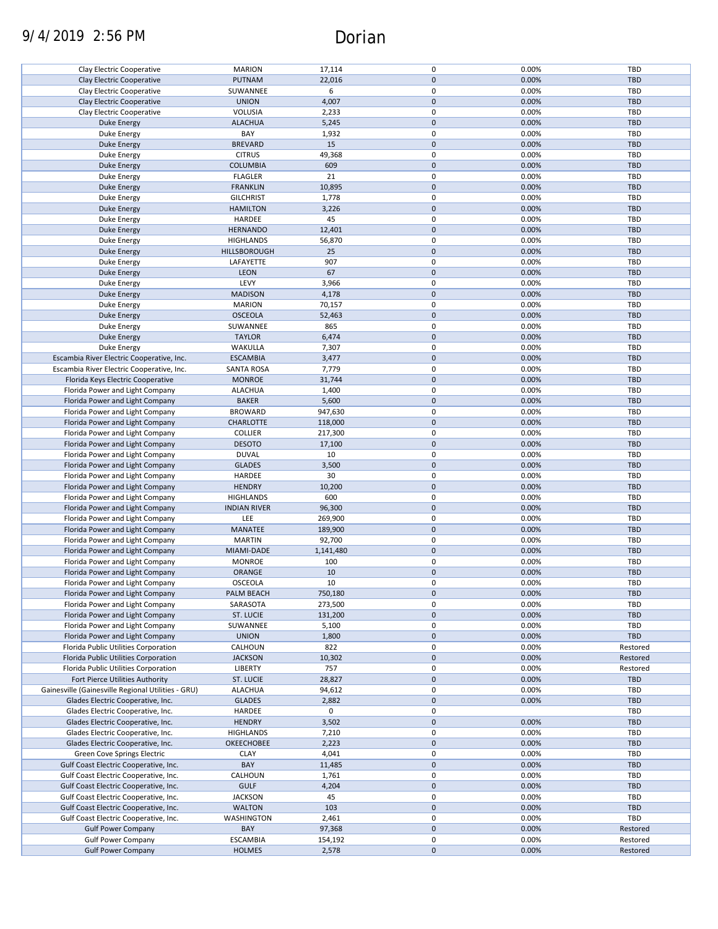# 9/4/2019 2:56 PM Dorian

| Clay Electric Cooperative                          | <b>MARION</b>       | 17,114    | 0           | 0.00% | TBD        |
|----------------------------------------------------|---------------------|-----------|-------------|-------|------------|
| Clay Electric Cooperative                          | PUTNAM              | 22,016    | $\mathbf 0$ | 0.00% | <b>TBD</b> |
|                                                    |                     |           |             |       |            |
| Clay Electric Cooperative                          | SUWANNEE            | 6         | 0           | 0.00% | TBD        |
| Clay Electric Cooperative                          | <b>UNION</b>        | 4,007     | $\mathbf 0$ | 0.00% | <b>TBD</b> |
|                                                    |                     |           |             |       |            |
| Clay Electric Cooperative                          | VOLUSIA             | 2,233     | 0           | 0.00% | TBD        |
| <b>Duke Energy</b>                                 | <b>ALACHUA</b>      | 5,245     | $\mathbf 0$ | 0.00% | <b>TBD</b> |
| Duke Energy                                        | BAY                 | 1,932     | 0           | 0.00% | TBD        |
|                                                    |                     |           |             |       |            |
| <b>Duke Energy</b>                                 | <b>BREVARD</b>      | 15        | $\mathbf 0$ | 0.00% | <b>TBD</b> |
| Duke Energy                                        | <b>CITRUS</b>       | 49,368    | 0           | 0.00% | TBD        |
| Duke Energy                                        | <b>COLUMBIA</b>     | 609       | $\mathbf 0$ | 0.00% | <b>TBD</b> |
|                                                    |                     |           |             |       |            |
| Duke Energy                                        | <b>FLAGLER</b>      | 21        | 0           | 0.00% | TBD        |
| <b>Duke Energy</b>                                 | <b>FRANKLIN</b>     | 10,895    | $\mathbf 0$ | 0.00% | <b>TBD</b> |
|                                                    |                     |           |             |       |            |
| Duke Energy                                        | <b>GILCHRIST</b>    | 1,778     | 0           | 0.00% | <b>TBD</b> |
| <b>Duke Energy</b>                                 | <b>HAMILTON</b>     | 3,226     | $\mathbf 0$ | 0.00% | <b>TBD</b> |
| Duke Energy                                        | HARDEE              | 45        | 0           | 0.00% | <b>TBD</b> |
|                                                    |                     |           |             |       |            |
| <b>Duke Energy</b>                                 | <b>HERNANDO</b>     | 12,401    | $\mathbf 0$ | 0.00% | <b>TBD</b> |
| Duke Energy                                        | <b>HIGHLANDS</b>    | 56,870    | 0           | 0.00% | <b>TBD</b> |
|                                                    |                     |           |             |       |            |
| <b>Duke Energy</b>                                 | HILLSBOROUGH        | 25        | $\mathbf 0$ | 0.00% | <b>TBD</b> |
| Duke Energy                                        | LAFAYETTE           | 907       | 0           | 0.00% | TBD        |
| <b>Duke Energy</b>                                 | LEON                | 67        | $\mathbf 0$ | 0.00% | TBD        |
|                                                    |                     |           |             |       |            |
| Duke Energy                                        | LEVY                | 3,966     | 0           | 0.00% | TBD        |
| Duke Energy                                        | <b>MADISON</b>      | 4,178     | $\pmb{0}$   | 0.00% | <b>TBD</b> |
|                                                    |                     |           |             |       |            |
| <b>Duke Energy</b>                                 | <b>MARION</b>       | 70,157    | 0           | 0.00% | TBD        |
| <b>Duke Energy</b>                                 | <b>OSCEOLA</b>      | 52,463    | $\mathbf 0$ | 0.00% | <b>TBD</b> |
| Duke Energy                                        | SUWANNEE            | 865       | 0           | 0.00% | TBD        |
|                                                    |                     |           |             |       |            |
| <b>Duke Energy</b>                                 | <b>TAYLOR</b>       | 6,474     | $\mathbf 0$ | 0.00% | <b>TBD</b> |
| Duke Energy                                        | WAKULLA             | 7,307     | 0           | 0.00% | TBD        |
|                                                    |                     |           |             |       |            |
| Escambia River Electric Cooperative, Inc.          | <b>ESCAMBIA</b>     | 3,477     | $\mathbf 0$ | 0.00% | <b>TBD</b> |
| Escambia River Electric Cooperative, Inc.          | <b>SANTA ROSA</b>   | 7,779     | 0           | 0.00% | <b>TBD</b> |
|                                                    | <b>MONROE</b>       | 31,744    | $\mathbf 0$ | 0.00% | <b>TBD</b> |
| Florida Keys Electric Cooperative                  |                     |           |             |       |            |
| Florida Power and Light Company                    | <b>ALACHUA</b>      | 1,400     | 0           | 0.00% | TBD        |
| Florida Power and Light Company                    | <b>BAKER</b>        | 5,600     | $\pmb{0}$   | 0.00% | <b>TBD</b> |
|                                                    |                     |           |             |       |            |
| Florida Power and Light Company                    | <b>BROWARD</b>      | 947,630   | $\pmb{0}$   | 0.00% | TBD        |
| Florida Power and Light Company                    | <b>CHARLOTTE</b>    | 118,000   | $\mathbf 0$ | 0.00% | <b>TBD</b> |
| Florida Power and Light Company                    | <b>COLLIER</b>      | 217,300   | $\pmb{0}$   | 0.00% | TBD        |
|                                                    |                     |           |             |       |            |
| Florida Power and Light Company                    | <b>DESOTO</b>       | 17,100    | $\mathbf 0$ | 0.00% | <b>TBD</b> |
| Florida Power and Light Company                    | <b>DUVAL</b>        | 10        | 0           | 0.00% | TBD        |
|                                                    |                     |           | $\mathbf 0$ |       |            |
| Florida Power and Light Company                    | <b>GLADES</b>       | 3,500     |             | 0.00% | <b>TBD</b> |
| Florida Power and Light Company                    | HARDEE              | 30        | 0           | 0.00% | TBD        |
| Florida Power and Light Company                    | <b>HENDRY</b>       | 10,200    | $\mathbf 0$ | 0.00% | <b>TBD</b> |
|                                                    |                     |           |             |       |            |
| Florida Power and Light Company                    | <b>HIGHLANDS</b>    | 600       | 0           | 0.00% | TBD        |
| Florida Power and Light Company                    | <b>INDIAN RIVER</b> | 96,300    | $\pmb{0}$   | 0.00% | <b>TBD</b> |
| Florida Power and Light Company                    | LEE                 | 269,900   | 0           |       | TBD        |
|                                                    |                     |           |             | 0.00% |            |
| Florida Power and Light Company                    | MANATEE             | 189,900   | $\mathbf 0$ | 0.00% | TBD        |
| Florida Power and Light Company                    | <b>MARTIN</b>       | 92,700    | 0           | 0.00% | TBD        |
|                                                    |                     |           |             |       |            |
| Florida Power and Light Company                    | MIAMI-DADE          | 1,141,480 | $\mathbf 0$ | 0.00% | <b>TBD</b> |
| Florida Power and Light Company                    | <b>MONROE</b>       | 100       | 0           | 0.00% | TBD        |
| Florida Power and Light Company                    | ORANGE              | 10        | $\mathbf 0$ | 0.00% | <b>TBD</b> |
|                                                    |                     |           |             |       |            |
| Florida Power and Light Company                    | OSCEOLA             | 10        | 0           | 0.00% | TBD        |
| Florida Power and Light Company                    | PALM BEACH          | 750,180   | $\mathbf 0$ | 0.00% | <b>TBD</b> |
|                                                    |                     |           |             |       |            |
| Florida Power and Light Company                    | SARASOTA            | 273,500   | 0           | 0.00% | TBD        |
| Florida Power and Light Company                    | ST. LUCIE           | 131,200   | $\mathbf 0$ | 0.00% | <b>TBD</b> |
| Florida Power and Light Company                    | SUWANNEE            | 5,100     | 0           | 0.00% | TBD        |
|                                                    |                     |           |             |       |            |
| Florida Power and Light Company                    | <b>UNION</b>        | 1,800     | $\pmb{0}$   | 0.00% | TBD        |
| Florida Public Utilities Corporation               | CALHOUN             | 822       | 0           | 0.00% | Restored   |
| Florida Public Utilities Corporation               | <b>JACKSON</b>      | 10,302    | $\pmb{0}$   | 0.00% | Restored   |
|                                                    |                     |           |             |       |            |
| Florida Public Utilities Corporation               | <b>LIBERTY</b>      | 757       | 0           | 0.00% | Restored   |
| Fort Pierce Utilities Authority                    | <b>ST. LUCIE</b>    | 28,827    | $\pmb{0}$   | 0.00% | TBD        |
|                                                    |                     |           |             |       |            |
| Gainesville (Gainesville Regional Utilities - GRU) | <b>ALACHUA</b>      | 94,612    | 0           | 0.00% | TBD        |
| Glades Electric Cooperative, Inc.                  | <b>GLADES</b>       | 2,882     | $\mathbf 0$ | 0.00% | <b>TBD</b> |
| Glades Electric Cooperative, Inc.                  | HARDEE              | 0         | 0           |       | <b>TBD</b> |
|                                                    |                     |           |             |       |            |
| Glades Electric Cooperative, Inc.                  | <b>HENDRY</b>       | 3,502     | $\pmb{0}$   | 0.00% | <b>TBD</b> |
| Glades Electric Cooperative, Inc.                  | <b>HIGHLANDS</b>    | 7,210     | 0           | 0.00% | <b>TBD</b> |
|                                                    |                     |           | $\mathbf 0$ |       | <b>TBD</b> |
| Glades Electric Cooperative, Inc.                  | <b>OKEECHOBEE</b>   | 2,223     |             | 0.00% |            |
| Green Cove Springs Electric                        | <b>CLAY</b>         | 4,041     | 0           | 0.00% | <b>TBD</b> |
| Gulf Coast Electric Cooperative, Inc.              | BAY                 | 11,485    | 0           | 0.00% | <b>TBD</b> |
|                                                    |                     |           |             |       |            |
| Gulf Coast Electric Cooperative, Inc.              | CALHOUN             | 1,761     | 0           | 0.00% | TBD        |
| Gulf Coast Electric Cooperative, Inc.              | <b>GULF</b>         | 4,204     | 0           | 0.00% | <b>TBD</b> |
| Gulf Coast Electric Cooperative, Inc.              | <b>JACKSON</b>      | 45        | 0           | 0.00% | TBD        |
|                                                    |                     |           |             |       |            |
| Gulf Coast Electric Cooperative, Inc.              | <b>WALTON</b>       | 103       | 0           | 0.00% | <b>TBD</b> |
| Gulf Coast Electric Cooperative, Inc.              | WASHINGTON          | 2,461     | 0           | 0.00% | <b>TBD</b> |
|                                                    |                     |           |             |       |            |
| <b>Gulf Power Company</b>                          | BAY                 | 97,368    | 0           | 0.00% | Restored   |
| <b>Gulf Power Company</b>                          | <b>ESCAMBIA</b>     | 154,192   | 0           | 0.00% | Restored   |
| <b>Gulf Power Company</b>                          | <b>HOLMES</b>       | 2,578     | $\pmb{0}$   | 0.00% | Restored   |
|                                                    |                     |           |             |       |            |